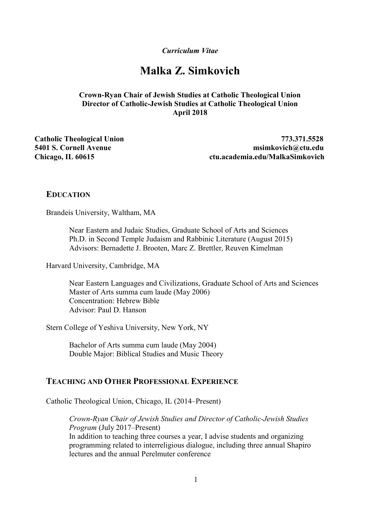Curriculum Vitae

# Malka Z. Simkovich

### Crown-Ryan Chair of Jewish Studies at Catholic Theological Union Director of Catholic-Jewish Studies at Catholic Theological Union April 2018

Catholic Theological Union 773.371.5528 5401 S. Cornell Avenue msimkovich@ctu.edu Chicago, IL 60615 ctu.academia.edu/MalkaSimkovich

#### **EDUCATION**

Brandeis University, Waltham, MA

Near Eastern and Judaic Studies, Graduate School of Arts and Sciences Ph.D. in Second Temple Judaism and Rabbinic Literature (August 2015) Advisors: Bernadette J. Brooten, Marc Z. Brettler, Reuven Kimelman

Harvard University, Cambridge, MA

Near Eastern Languages and Civilizations, Graduate School of Arts and Sciences Master of Arts summa cum laude (May 2006) Concentration: Hebrew Bible Advisor: Paul D. Hanson

Stern College of Yeshiva University, New York, NY

Bachelor of Arts summa cum laude (May 2004) Double Major: Biblical Studies and Music Theory

### TEACHING AND OTHER PROFESSIONAL EXPERIENCE

Catholic Theological Union, Chicago, IL (2014–Present)

Crown-Ryan Chair of Jewish Studies and Director of Catholic-Jewish Studies Program (July 2017–Present) In addition to teaching three courses a year, I advise students and organizing programming related to interreligious dialogue, including three annual Shapiro lectures and the annual Perelmuter conference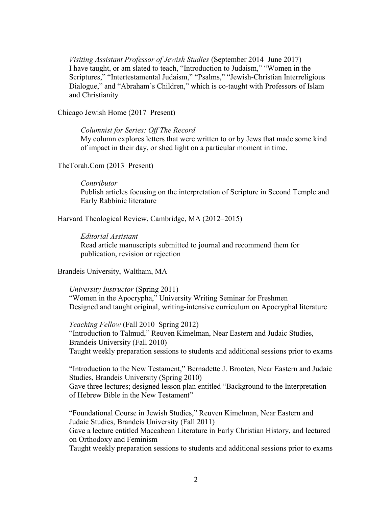Visiting Assistant Professor of Jewish Studies (September 2014–June 2017) I have taught, or am slated to teach, "Introduction to Judaism," "Women in the Scriptures," "Intertestamental Judaism," "Psalms," "Jewish-Christian Interreligious Dialogue," and "Abraham's Children," which is co-taught with Professors of Islam and Christianity

Chicago Jewish Home (2017–Present)

#### Columnist for Series: Off The Record

My column explores letters that were written to or by Jews that made some kind of impact in their day, or shed light on a particular moment in time.

#### TheTorah.Com (2013–Present)

#### Contributor

Publish articles focusing on the interpretation of Scripture in Second Temple and Early Rabbinic literature

Harvard Theological Review, Cambridge, MA (2012–2015)

#### Editorial Assistant

Read article manuscripts submitted to journal and recommend them for publication, revision or rejection

#### Brandeis University, Waltham, MA

University Instructor (Spring 2011) "Women in the Apocrypha," University Writing Seminar for Freshmen Designed and taught original, writing-intensive curriculum on Apocryphal literature

Teaching Fellow (Fall 2010–Spring 2012) "Introduction to Talmud," Reuven Kimelman, Near Eastern and Judaic Studies, Brandeis University (Fall 2010) Taught weekly preparation sessions to students and additional sessions prior to exams

"Introduction to the New Testament," Bernadette J. Brooten, Near Eastern and Judaic Studies, Brandeis University (Spring 2010) Gave three lectures; designed lesson plan entitled "Background to the Interpretation of Hebrew Bible in the New Testament"

"Foundational Course in Jewish Studies," Reuven Kimelman, Near Eastern and Judaic Studies, Brandeis University (Fall 2011) Gave a lecture entitled Maccabean Literature in Early Christian History, and lectured on Orthodoxy and Feminism Taught weekly preparation sessions to students and additional sessions prior to exams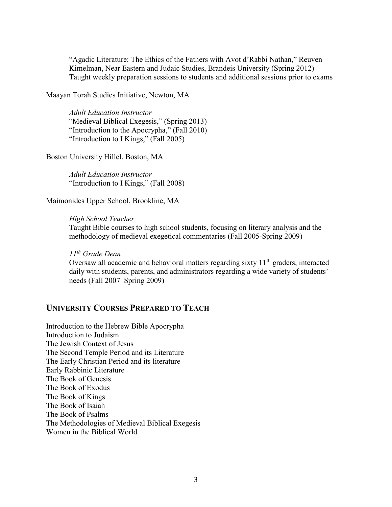"Agadic Literature: The Ethics of the Fathers with Avot d'Rabbi Nathan," Reuven Kimelman, Near Eastern and Judaic Studies, Brandeis University (Spring 2012) Taught weekly preparation sessions to students and additional sessions prior to exams

Maayan Torah Studies Initiative, Newton, MA

Adult Education Instructor "Medieval Biblical Exegesis," (Spring 2013) "Introduction to the Apocrypha," (Fall 2010) "Introduction to I Kings," (Fall 2005)

Boston University Hillel, Boston, MA

Adult Education Instructor "Introduction to I Kings," (Fall 2008)

Maimonides Upper School, Brookline, MA

High School Teacher Taught Bible courses to high school students, focusing on literary analysis and the methodology of medieval exegetical commentaries (Fall 2005-Spring 2009)

11<sup>th</sup> Grade Dean Oversaw all academic and behavioral matters regarding sixty  $11<sup>th</sup>$  graders, interacted daily with students, parents, and administrators regarding a wide variety of students' needs (Fall 2007–Spring 2009)

## UNIVERSITY COURSES PREPARED TO TEACH

Introduction to the Hebrew Bible Apocrypha Introduction to Judaism The Jewish Context of Jesus The Second Temple Period and its Literature The Early Christian Period and its literature Early Rabbinic Literature The Book of Genesis The Book of Exodus The Book of Kings The Book of Isaiah The Book of Psalms The Methodologies of Medieval Biblical Exegesis Women in the Biblical World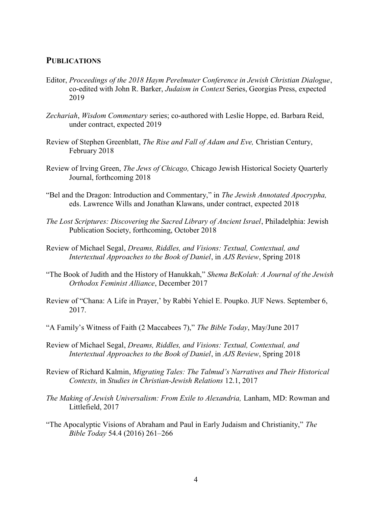#### PUBLICATIONS

- Editor, Proceedings of the 2018 Haym Perelmuter Conference in Jewish Christian Dialogue, co-edited with John R. Barker, Judaism in Context Series, Georgias Press, expected 2019
- Zechariah, Wisdom Commentary series; co-authored with Leslie Hoppe, ed. Barbara Reid, under contract, expected 2019
- Review of Stephen Greenblatt, The Rise and Fall of Adam and Eve, Christian Century, February 2018
- Review of Irving Green, The Jews of Chicago, Chicago Jewish Historical Society Quarterly Journal, forthcoming 2018
- "Bel and the Dragon: Introduction and Commentary," in The Jewish Annotated Apocrypha, eds. Lawrence Wills and Jonathan Klawans, under contract, expected 2018
- The Lost Scriptures: Discovering the Sacred Library of Ancient Israel, Philadelphia: Jewish Publication Society, forthcoming, October 2018
- Review of Michael Segal, Dreams, Riddles, and Visions: Textual, Contextual, and Intertextual Approaches to the Book of Daniel, in AJS Review, Spring 2018
- "The Book of Judith and the History of Hanukkah," Shema BeKolah: A Journal of the Jewish Orthodox Feminist Alliance, December 2017
- Review of "Chana: A Life in Prayer,' by Rabbi Yehiel E. Poupko. JUF News. September 6, 2017.
- "A Family's Witness of Faith (2 Maccabees 7)," The Bible Today, May/June 2017
- Review of Michael Segal, Dreams, Riddles, and Visions: Textual, Contextual, and Intertextual Approaches to the Book of Daniel, in AJS Review, Spring 2018
- Review of Richard Kalmin, Migrating Tales: The Talmud's Narratives and Their Historical Contexts, in Studies in Christian-Jewish Relations 12.1, 2017
- The Making of Jewish Universalism: From Exile to Alexandria, Lanham, MD: Rowman and Littlefield, 2017
- "The Apocalyptic Visions of Abraham and Paul in Early Judaism and Christianity," The Bible Today 54.4 (2016) 261–266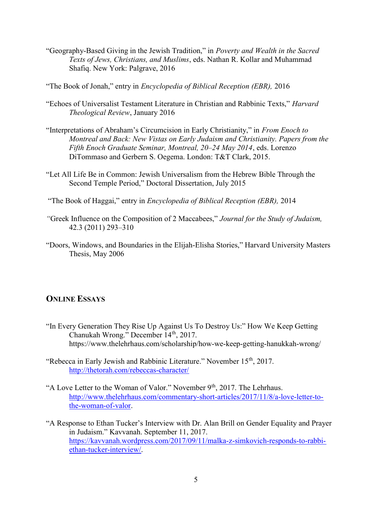"Geography-Based Giving in the Jewish Tradition," in Poverty and Wealth in the Sacred Texts of Jews, Christians, and Muslims, eds. Nathan R. Kollar and Muhammad Shafiq. New York: Palgrave, 2016

"The Book of Jonah," entry in Encyclopedia of Biblical Reception (EBR), 2016

- "Echoes of Universalist Testament Literature in Christian and Rabbinic Texts," Harvard Theological Review, January 2016
- "Interpretations of Abraham's Circumcision in Early Christianity," in From Enoch to Montreal and Back: New Vistas on Early Judaism and Christianity. Papers from the Fifth Enoch Graduate Seminar, Montreal, 20–24 May 2014, eds. Lorenzo DiTommaso and Gerbern S. Oegema. London: T&T Clark, 2015.
- "Let All Life Be in Common: Jewish Universalism from the Hebrew Bible Through the Second Temple Period," Doctoral Dissertation, July 2015

"The Book of Haggai," entry in Encyclopedia of Biblical Reception (EBR), 2014

- "Greek Influence on the Composition of 2 Maccabees," Journal for the Study of Judaism, 42.3 (2011) 293–310
- "Doors, Windows, and Boundaries in the Elijah-Elisha Stories," Harvard University Masters Thesis, May 2006

## ONLINE ESSAYS

- "In Every Generation They Rise Up Against Us To Destroy Us:" How We Keep Getting Chanukah Wrong." December 14<sup>th</sup>, 2017. https://www.thelehrhaus.com/scholarship/how-we-keep-getting-hanukkah-wrong/
- "Rebecca in Early Jewish and Rabbinic Literature." November 15<sup>th</sup>, 2017. http://thetorah.com/rebeccas-character/
- "A Love Letter to the Woman of Valor." November 9<sup>th</sup>, 2017. The Lehrhaus. http://www.thelehrhaus.com/commentary-short-articles/2017/11/8/a-love-letter-tothe-woman-of-valor.
- "A Response to Ethan Tucker's Interview with Dr. Alan Brill on Gender Equality and Prayer in Judaism." Kavvanah. September 11, 2017. https://kavvanah.wordpress.com/2017/09/11/malka-z-simkovich-responds-to-rabbiethan-tucker-interview/.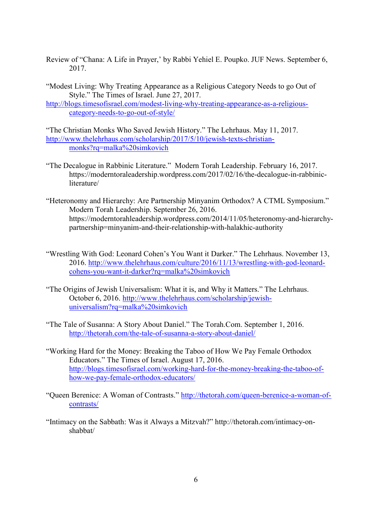- Review of "Chana: A Life in Prayer,' by Rabbi Yehiel E. Poupko. JUF News. September 6, 2017.
- "Modest Living: Why Treating Appearance as a Religious Category Needs to go Out of Style." The Times of Israel. June 27, 2017.
- http://blogs.timesofisrael.com/modest-living-why-treating-appearance-as-a-religiouscategory-needs-to-go-out-of-style/

"The Christian Monks Who Saved Jewish History." The Lehrhaus. May 11, 2017. http://www.thelehrhaus.com/scholarship/2017/5/10/jewish-texts-christianmonks?rq=malka%20simkovich

- "The Decalogue in Rabbinic Literature." Modern Torah Leadership. February 16, 2017. https://moderntoraleadership.wordpress.com/2017/02/16/the-decalogue-in-rabbinicliterature/
- "Heteronomy and Hierarchy: Are Partnership Minyanim Orthodox? A CTML Symposium." Modern Torah Leadership. September 26, 2016. https://moderntorahleadership.wordpress.com/2014/11/05/heteronomy-and-hierarchypartnership=minyanim-and-their-relationship-with-halakhic-authority
- "Wrestling With God: Leonard Cohen's You Want it Darker." The Lehrhaus. November 13, 2016. http://www.thelehrhaus.com/culture/2016/11/13/wrestling-with-god-leonardcohens-you-want-it-darker?rq=malka%20simkovich
- "The Origins of Jewish Universalism: What it is, and Why it Matters." The Lehrhaus. October 6, 2016. http://www.thelehrhaus.com/scholarship/jewishuniversalism?rq=malka%20simkovich
- "The Tale of Susanna: A Story About Daniel." The Torah.Com. September 1, 2016. http://thetorah.com/the-tale-of-susanna-a-story-about-daniel/
- "Working Hard for the Money: Breaking the Taboo of How We Pay Female Orthodox Educators." The Times of Israel. August 17, 2016. http://blogs.timesofisrael.com/working-hard-for-the-money-breaking-the-taboo-ofhow-we-pay-female-orthodox-educators/
- "Queen Berenice: A Woman of Contrasts." http://thetorah.com/queen-berenice-a-woman-ofcontrasts/
- "Intimacy on the Sabbath: Was it Always a Mitzvah?" http://thetorah.com/intimacy-onshabbat/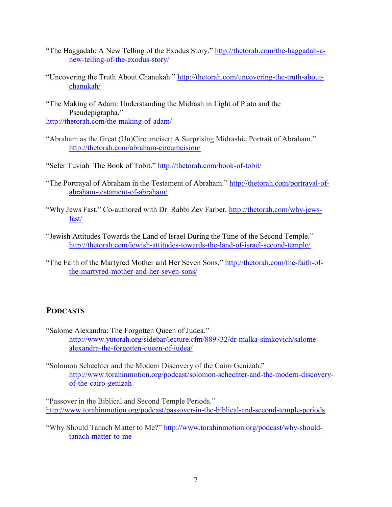- "The Haggadah: A New Telling of the Exodus Story." http://thetorah.com/the-haggadah-anew-telling-of-the-exodus-story/
- "Uncovering the Truth About Chanukah." http://thetorah.com/uncovering-the-truth-aboutchanukah/

"The Making of Adam: Understanding the Midrash in Light of Plato and the Pseudepigrapha." http://thetorah.com/the-making-of-adam/

"Abraham as the Great (Un)Circumciser: A Surprising Midrashic Portrait of Abraham." http://thetorah.com/abraham-circumcision/

"Sefer Tuviah–The Book of Tobit." http://thetorah.com/book-of-tobit/

- "The Portrayal of Abraham in the Testament of Abraham." http://thetorah.com/portrayal-ofabraham-testament-of-abraham/
- "Why Jews Fast." Co-authored with Dr. Rabbi Zev Farber. http://thetorah.com/why-jewsfast/
- "Jewish Attitudes Towards the Land of Israel During the Time of the Second Temple." http://thetorah.com/jewish-attitudes-towards-the-land-of-israel-second-temple/
- "The Faith of the Martyred Mother and Her Seven Sons." http://thetorah.com/the-faith-ofthe-martyred-mother-and-her-seven-sons/

## PODCASTS

- "Salome Alexandra: The Forgotten Queen of Judea." http://www.yutorah.org/sidebar/lecture.cfm/889732/dr-malka-simkovich/salomealexandra-the-forgotten-queen-of-judea/
- "Solomon Schechter and the Modern Discovery of the Cairo Genizah." http://www.torahinmotion.org/podcast/solomon-schechter-and-the-modern-discoveryof-the-cairo-genizah

"Passover in the Biblical and Second Temple Periods." http://www.torahinmotion.org/podcast/passover-in-the-biblical-and-second-temple-periods

"Why Should Tanach Matter to Me?" http://www.torahinmotion.org/podcast/why-shouldtanach-matter-to-me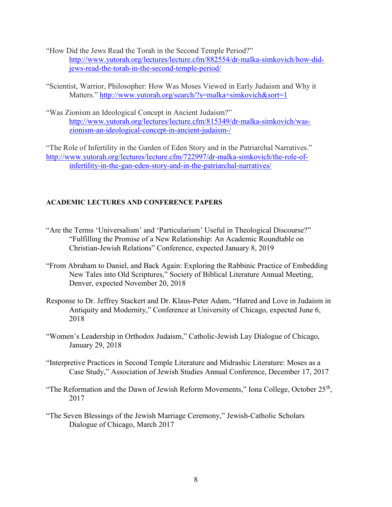- "How Did the Jews Read the Torah in the Second Temple Period?" http://www.yutorah.org/lectures/lecture.cfm/882554/dr-malka-simkovich/how-didjews-read-the-torah-in-the-second-temple-period/
- "Scientist, Warrior, Philosopher: How Was Moses Viewed in Early Judaism and Why it Matters." http://www.yutorah.org/search/?s=malka+simkovich&sort=1
- "Was Zionism an Ideological Concept in Ancient Judaism?" http://www.yutorah.org/lectures/lecture.cfm/815349/dr-malka-simkovich/waszionism-an-ideological-concept-in-ancient-judaism-/

"The Role of Infertility in the Garden of Eden Story and in the Patriarchal Narratives." http://www.yutorah.org/lectures/lecture.cfm/722997/dr-malka-simkovich/the-role-ofinfertility-in-the-gan-eden-story-and-in-the-patriarchal-narratives/

### ACADEMIC LECTURES AND CONFERENCE PAPERS

- "Are the Terms 'Universalism' and 'Particularism' Useful in Theological Discourse?" "Fulfilling the Promise of a New Relationship: An Academic Roundtable on Christian-Jewish Relations" Conference, expected January 8, 2019
- "From Abraham to Daniel, and Back Again: Exploring the Rabbinic Practice of Embedding New Tales into Old Scriptures," Society of Biblical Literature Annual Meeting, Denver, expected November 20, 2018
- Response to Dr. Jeffrey Stackert and Dr. Klaus-Peter Adam, "Hatred and Love in Judaism in Antiquity and Modernity," Conference at University of Chicago, expected June 6, 2018
- "Women's Leadership in Orthodox Judaism," Catholic-Jewish Lay Dialogue of Chicago, January 29, 2018
- "Interpretive Practices in Second Temple Literature and Midrashic Literature: Moses as a Case Study," Association of Jewish Studies Annual Conference, December 17, 2017
- "The Reformation and the Dawn of Jewish Reform Movements," Iona College, October  $25<sup>th</sup>$ , 2017
- "The Seven Blessings of the Jewish Marriage Ceremony," Jewish-Catholic Scholars Dialogue of Chicago, March 2017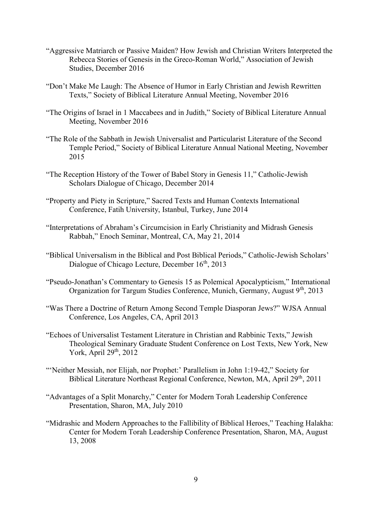- "Aggressive Matriarch or Passive Maiden? How Jewish and Christian Writers Interpreted the Rebecca Stories of Genesis in the Greco-Roman World," Association of Jewish Studies, December 2016
- "Don't Make Me Laugh: The Absence of Humor in Early Christian and Jewish Rewritten Texts," Society of Biblical Literature Annual Meeting, November 2016
- "The Origins of Israel in 1 Maccabees and in Judith," Society of Biblical Literature Annual Meeting, November 2016
- "The Role of the Sabbath in Jewish Universalist and Particularist Literature of the Second Temple Period," Society of Biblical Literature Annual National Meeting, November 2015
- "The Reception History of the Tower of Babel Story in Genesis 11," Catholic-Jewish Scholars Dialogue of Chicago, December 2014
- "Property and Piety in Scripture," Sacred Texts and Human Contexts International Conference, Fatih University, Istanbul, Turkey, June 2014
- "Interpretations of Abraham's Circumcision in Early Christianity and Midrash Genesis Rabbah," Enoch Seminar, Montreal, CA, May 21, 2014
- "Biblical Universalism in the Biblical and Post Biblical Periods," Catholic-Jewish Scholars' Dialogue of Chicago Lecture, December 16<sup>th</sup>, 2013
- "Pseudo-Jonathan's Commentary to Genesis 15 as Polemical Apocalypticism," International Organization for Targum Studies Conference, Munich, Germany, August 9<sup>th</sup>, 2013
- "Was There a Doctrine of Return Among Second Temple Diasporan Jews?" WJSA Annual Conference, Los Angeles, CA, April 2013
- "Echoes of Universalist Testament Literature in Christian and Rabbinic Texts," Jewish Theological Seminary Graduate Student Conference on Lost Texts, New York, New York, April  $29<sup>th</sup>$ ,  $2012$
- "'Neither Messiah, nor Elijah, nor Prophet:' Parallelism in John 1:19-42," Society for Biblical Literature Northeast Regional Conference, Newton, MA, April 29<sup>th</sup>, 2011
- "Advantages of a Split Monarchy," Center for Modern Torah Leadership Conference Presentation, Sharon, MA, July 2010
- "Midrashic and Modern Approaches to the Fallibility of Biblical Heroes," Teaching Halakha: Center for Modern Torah Leadership Conference Presentation, Sharon, MA, August 13, 2008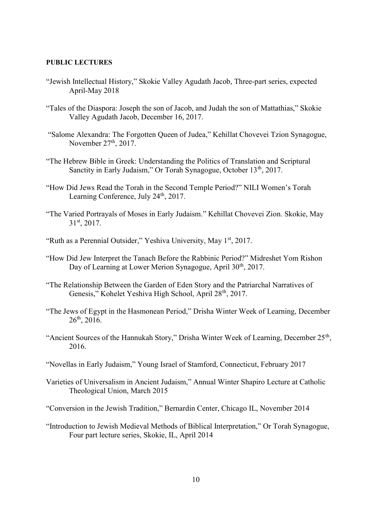#### PUBLIC LECTURES

- "Jewish Intellectual History," Skokie Valley Agudath Jacob, Three-part series, expected April-May 2018
- "Tales of the Diaspora: Joseph the son of Jacob, and Judah the son of Mattathias," Skokie Valley Agudath Jacob, December 16, 2017.
- "Salome Alexandra: The Forgotten Queen of Judea," Kehillat Chovevei Tzion Synagogue, November  $27<sup>th</sup>$ , 2017.
- "The Hebrew Bible in Greek: Understanding the Politics of Translation and Scriptural Sanctity in Early Judaism," Or Torah Synagogue, October 13<sup>th</sup>, 2017.
- "How Did Jews Read the Torah in the Second Temple Period?" NILI Women's Torah Learning Conference, July 24<sup>th</sup>, 2017.
- "The Varied Portrayals of Moses in Early Judaism." Kehillat Chovevei Zion. Skokie, May 31st, 2017.
- "Ruth as a Perennial Outsider," Yeshiva University, May 1<sup>st</sup>, 2017.
- "How Did Jew Interpret the Tanach Before the Rabbinic Period?" Midreshet Yom Rishon Day of Learning at Lower Merion Synagogue, April 30<sup>th</sup>, 2017.
- "The Relationship Between the Garden of Eden Story and the Patriarchal Narratives of Genesis," Kohelet Yeshiva High School, April 28<sup>th</sup>, 2017.
- "The Jews of Egypt in the Hasmonean Period," Drisha Winter Week of Learning, December  $26<sup>th</sup>$ , 2016.
- "Ancient Sources of the Hannukah Story," Drisha Winter Week of Learning, December  $25<sup>th</sup>$ , 2016.
- "Novellas in Early Judaism," Young Israel of Stamford, Connecticut, February 2017
- Varieties of Universalism in Ancient Judaism," Annual Winter Shapiro Lecture at Catholic Theological Union, March 2015
- "Conversion in the Jewish Tradition," Bernardin Center, Chicago IL, November 2014
- "Introduction to Jewish Medieval Methods of Biblical Interpretation," Or Torah Synagogue, Four part lecture series, Skokie, IL, April 2014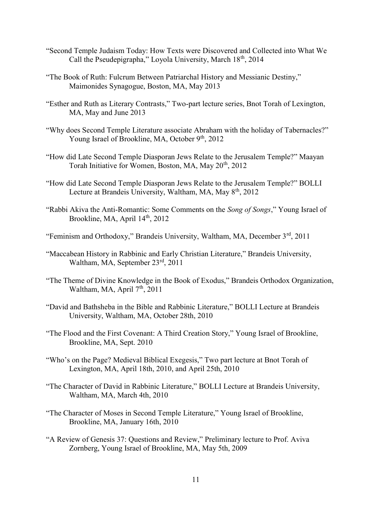- "Second Temple Judaism Today: How Texts were Discovered and Collected into What We Call the Pseudepigrapha," Loyola University, March 18<sup>th</sup>, 2014
- "The Book of Ruth: Fulcrum Between Patriarchal History and Messianic Destiny," Maimonides Synagogue, Boston, MA, May 2013
- "Esther and Ruth as Literary Contrasts," Two-part lecture series, Bnot Torah of Lexington, MA, May and June 2013
- "Why does Second Temple Literature associate Abraham with the holiday of Tabernacles?" Young Israel of Brookline, MA, October 9<sup>th</sup>, 2012
- "How did Late Second Temple Diasporan Jews Relate to the Jerusalem Temple?" Maayan Torah Initiative for Women, Boston, MA, May 20<sup>th</sup>, 2012
- "How did Late Second Temple Diasporan Jews Relate to the Jerusalem Temple?" BOLLI Lecture at Brandeis University, Waltham, MA, May 8<sup>th</sup>, 2012
- "Rabbi Akiva the Anti-Romantic: Some Comments on the Song of Songs," Young Israel of Brookline, MA, April  $14<sup>th</sup>$ , 2012
- "Feminism and Orthodoxy," Brandeis University, Waltham, MA, December 3<sup>rd</sup>, 2011
- "Maccabean History in Rabbinic and Early Christian Literature," Brandeis University, Waltham, MA, September 23rd, 2011
- "The Theme of Divine Knowledge in the Book of Exodus," Brandeis Orthodox Organization, Waltham, MA, April 7<sup>th</sup>, 2011
- "David and Bathsheba in the Bible and Rabbinic Literature," BOLLI Lecture at Brandeis University, Waltham, MA, October 28th, 2010
- "The Flood and the First Covenant: A Third Creation Story," Young Israel of Brookline, Brookline, MA, Sept. 2010
- "Who's on the Page? Medieval Biblical Exegesis," Two part lecture at Bnot Torah of Lexington, MA, April 18th, 2010, and April 25th, 2010
- "The Character of David in Rabbinic Literature," BOLLI Lecture at Brandeis University, Waltham, MA, March 4th, 2010
- "The Character of Moses in Second Temple Literature," Young Israel of Brookline, Brookline, MA, January 16th, 2010
- "A Review of Genesis 37: Questions and Review," Preliminary lecture to Prof. Aviva Zornberg, Young Israel of Brookline, MA, May 5th, 2009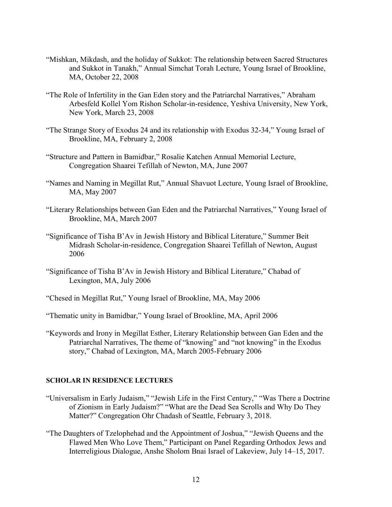- "Mishkan, Mikdash, and the holiday of Sukkot: The relationship between Sacred Structures and Sukkot in Tanakh," Annual Simchat Torah Lecture, Young Israel of Brookline, MA, October 22, 2008
- "The Role of Infertility in the Gan Eden story and the Patriarchal Narratives," Abraham Arbesfeld Kollel Yom Rishon Scholar-in-residence, Yeshiva University, New York, New York, March 23, 2008
- "The Strange Story of Exodus 24 and its relationship with Exodus 32-34," Young Israel of Brookline, MA, February 2, 2008
- "Structure and Pattern in Bamidbar," Rosalie Katchen Annual Memorial Lecture, Congregation Shaarei Tefillah of Newton, MA, June 2007
- "Names and Naming in Megillat Rut," Annual Shavuot Lecture, Young Israel of Brookline, MA, May 2007
- "Literary Relationships between Gan Eden and the Patriarchal Narratives," Young Israel of Brookline, MA, March 2007
- "Significance of Tisha B'Av in Jewish History and Biblical Literature," Summer Beit Midrash Scholar-in-residence, Congregation Shaarei Tefillah of Newton, August 2006
- "Significance of Tisha B'Av in Jewish History and Biblical Literature," Chabad of Lexington, MA, July 2006
- "Chesed in Megillat Rut," Young Israel of Brookline, MA, May 2006
- "Thematic unity in Bamidbar," Young Israel of Brookline, MA, April 2006
- "Keywords and Irony in Megillat Esther, Literary Relationship between Gan Eden and the Patriarchal Narratives, The theme of "knowing" and "not knowing" in the Exodus story," Chabad of Lexington, MA, March 2005-February 2006

#### SCHOLAR IN RESIDENCE LECTURES

- "Universalism in Early Judaism," "Jewish Life in the First Century," "Was There a Doctrine of Zionism in Early Judaism?" "What are the Dead Sea Scrolls and Why Do They Matter?" Congregation Ohr Chadash of Seattle, February 3, 2018.
- "The Daughters of Tzelophehad and the Appointment of Joshua," "Jewish Queens and the Flawed Men Who Love Them," Participant on Panel Regarding Orthodox Jews and Interreligious Dialogue, Anshe Sholom Bnai Israel of Lakeview, July 14–15, 2017.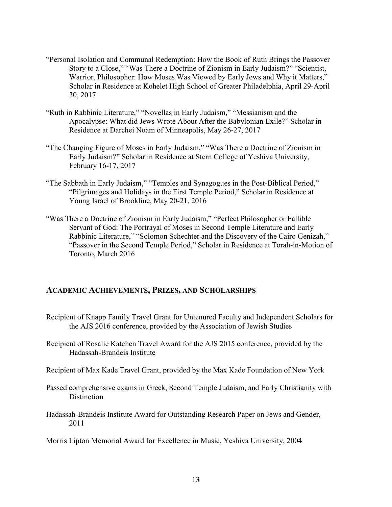- "Personal Isolation and Communal Redemption: How the Book of Ruth Brings the Passover Story to a Close," "Was There a Doctrine of Zionism in Early Judaism?" "Scientist, Warrior, Philosopher: How Moses Was Viewed by Early Jews and Why it Matters," Scholar in Residence at Kohelet High School of Greater Philadelphia, April 29-April 30, 2017
- "Ruth in Rabbinic Literature," "Novellas in Early Judaism," "Messianism and the Apocalypse: What did Jews Wrote About After the Babylonian Exile?" Scholar in Residence at Darchei Noam of Minneapolis, May 26-27, 2017
- "The Changing Figure of Moses in Early Judaism," "Was There a Doctrine of Zionism in Early Judaism?" Scholar in Residence at Stern College of Yeshiva University, February 16-17, 2017
- "The Sabbath in Early Judaism," "Temples and Synagogues in the Post-Biblical Period," "Pilgrimages and Holidays in the First Temple Period," Scholar in Residence at Young Israel of Brookline, May 20-21, 2016
- "Was There a Doctrine of Zionism in Early Judaism," "Perfect Philosopher or Fallible Servant of God: The Portrayal of Moses in Second Temple Literature and Early Rabbinic Literature," "Solomon Schechter and the Discovery of the Cairo Genizah," "Passover in the Second Temple Period," Scholar in Residence at Torah-in-Motion of Toronto, March 2016

## ACADEMIC ACHIEVEMENTS, PRIZES, AND SCHOLARSHIPS

- Recipient of Knapp Family Travel Grant for Untenured Faculty and Independent Scholars for the AJS 2016 conference, provided by the Association of Jewish Studies
- Recipient of Rosalie Katchen Travel Award for the AJS 2015 conference, provided by the Hadassah-Brandeis Institute
- Recipient of Max Kade Travel Grant, provided by the Max Kade Foundation of New York
- Passed comprehensive exams in Greek, Second Temple Judaism, and Early Christianity with Distinction
- Hadassah-Brandeis Institute Award for Outstanding Research Paper on Jews and Gender, 2011
- Morris Lipton Memorial Award for Excellence in Music, Yeshiva University, 2004